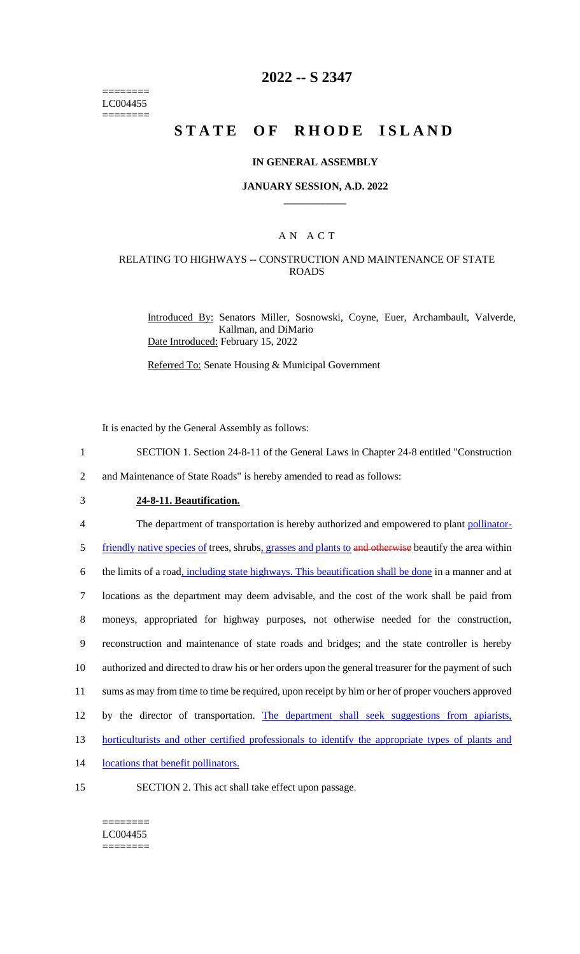======== LC004455 ========

# **2022 -- S 2347**

# **STATE OF RHODE ISLAND**

#### **IN GENERAL ASSEMBLY**

#### **JANUARY SESSION, A.D. 2022 \_\_\_\_\_\_\_\_\_\_\_\_**

## A N A C T

### RELATING TO HIGHWAYS -- CONSTRUCTION AND MAINTENANCE OF STATE ROADS

Introduced By: Senators Miller, Sosnowski, Coyne, Euer, Archambault, Valverde, Kallman, and DiMario Date Introduced: February 15, 2022

Referred To: Senate Housing & Municipal Government

It is enacted by the General Assembly as follows:

1 SECTION 1. Section 24-8-11 of the General Laws in Chapter 24-8 entitled "Construction

2 and Maintenance of State Roads" is hereby amended to read as follows:

3 **24-8-11. Beautification.**

4 The department of transportation is hereby authorized and empowered to plant pollinator-

5 friendly native species of trees, shrubs, grasses and plants to and otherwise beautify the area within

 the limits of a road, including state highways. This beautification shall be done in a manner and at locations as the department may deem advisable, and the cost of the work shall be paid from moneys, appropriated for highway purposes, not otherwise needed for the construction, reconstruction and maintenance of state roads and bridges; and the state controller is hereby authorized and directed to draw his or her orders upon the general treasurer for the payment of such sums as may from time to time be required, upon receipt by him or her of proper vouchers approved by the director of transportation. The department shall seek suggestions from apiarists,

13 horticulturists and other certified professionals to identify the appropriate types of plants and

- 14 locations that benefit pollinators.
- 
- 15 SECTION 2. This act shall take effect upon passage.
	- ======== LC004455 ========